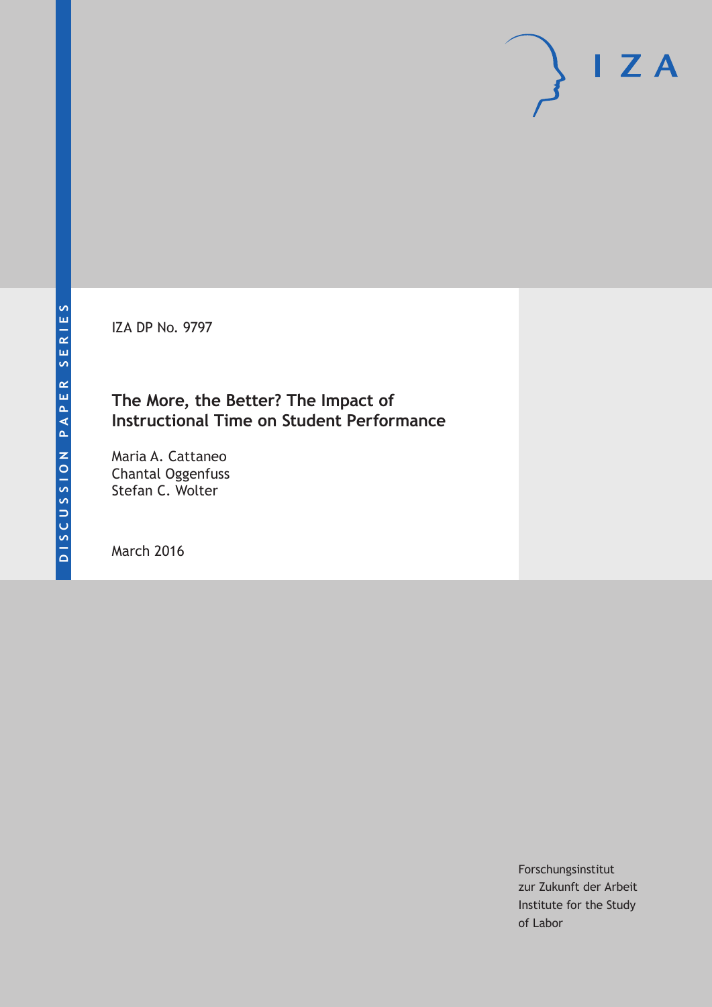IZA DP No. 9797

### **The More, the Better? The Impact of Instructional Time on Student Performance**

Maria A. Cattaneo Chantal Oggenfuss Stefan C. Wolter

March 2016

Forschungsinstitut zur Zukunft der Arbeit Institute for the Study of Labor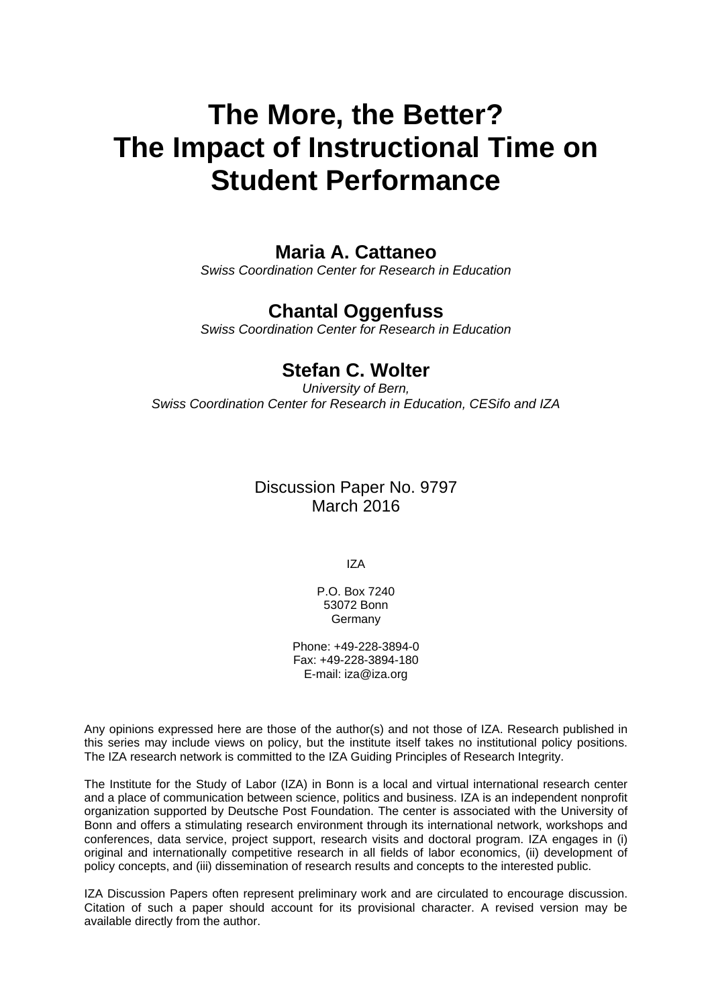# **The More, the Better? The Impact of Instructional Time on Student Performance**

### **Maria A. Cattaneo**

*Swiss Coordination Center for Research in Education* 

# **Chantal Oggenfuss**

*Swiss Coordination Center for Research in Education* 

## **Stefan C. Wolter**

*University of Bern, Swiss Coordination Center for Research in Education, CESifo and IZA*

### Discussion Paper No. 9797 March 2016

IZA

P.O. Box 7240 53072 Bonn **Germany** 

Phone: +49-228-3894-0 Fax: +49-228-3894-180 E-mail: iza@iza.org

Any opinions expressed here are those of the author(s) and not those of IZA. Research published in this series may include views on policy, but the institute itself takes no institutional policy positions. The IZA research network is committed to the IZA Guiding Principles of Research Integrity.

The Institute for the Study of Labor (IZA) in Bonn is a local and virtual international research center and a place of communication between science, politics and business. IZA is an independent nonprofit organization supported by Deutsche Post Foundation. The center is associated with the University of Bonn and offers a stimulating research environment through its international network, workshops and conferences, data service, project support, research visits and doctoral program. IZA engages in (i) original and internationally competitive research in all fields of labor economics, (ii) development of policy concepts, and (iii) dissemination of research results and concepts to the interested public.

IZA Discussion Papers often represent preliminary work and are circulated to encourage discussion. Citation of such a paper should account for its provisional character. A revised version may be available directly from the author.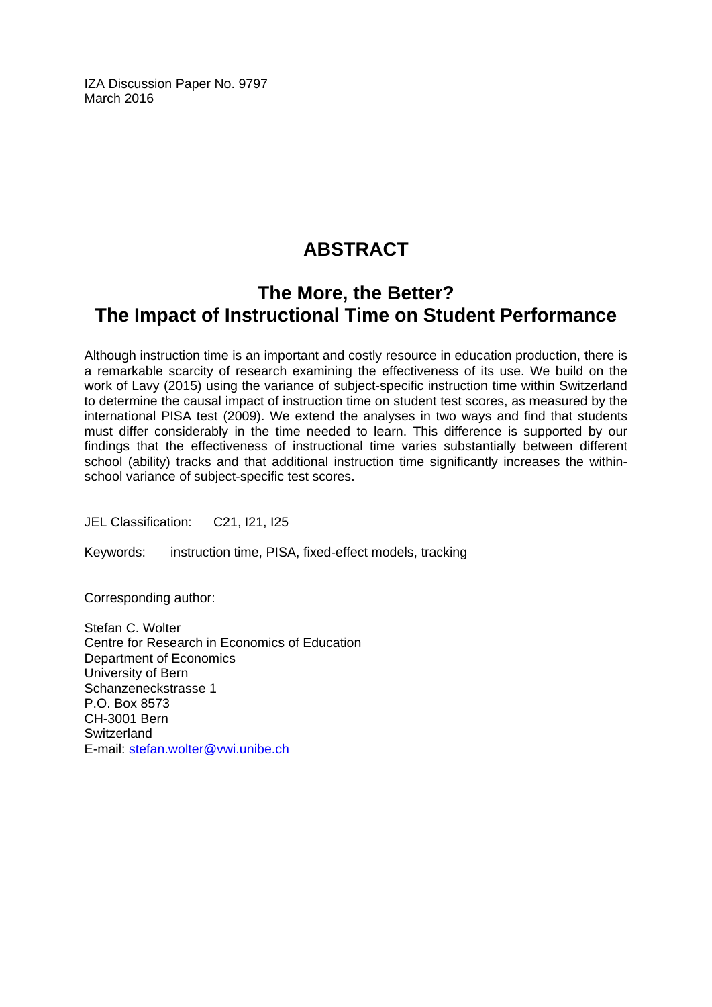IZA Discussion Paper No. 9797 March 2016

# **ABSTRACT**

# **The More, the Better? The Impact of Instructional Time on Student Performance**

Although instruction time is an important and costly resource in education production, there is a remarkable scarcity of research examining the effectiveness of its use. We build on the work of Lavy (2015) using the variance of subject-specific instruction time within Switzerland to determine the causal impact of instruction time on student test scores, as measured by the international PISA test (2009). We extend the analyses in two ways and find that students must differ considerably in the time needed to learn. This difference is supported by our findings that the effectiveness of instructional time varies substantially between different school (ability) tracks and that additional instruction time significantly increases the withinschool variance of subject-specific test scores.

JEL Classification: C21, I21, I25

Keywords: instruction time, PISA, fixed-effect models, tracking

Corresponding author:

Stefan C. Wolter Centre for Research in Economics of Education Department of Economics University of Bern Schanzeneckstrasse 1 P.O. Box 8573 CH-3001 Bern **Switzerland** E-mail: stefan.wolter@vwi.unibe.ch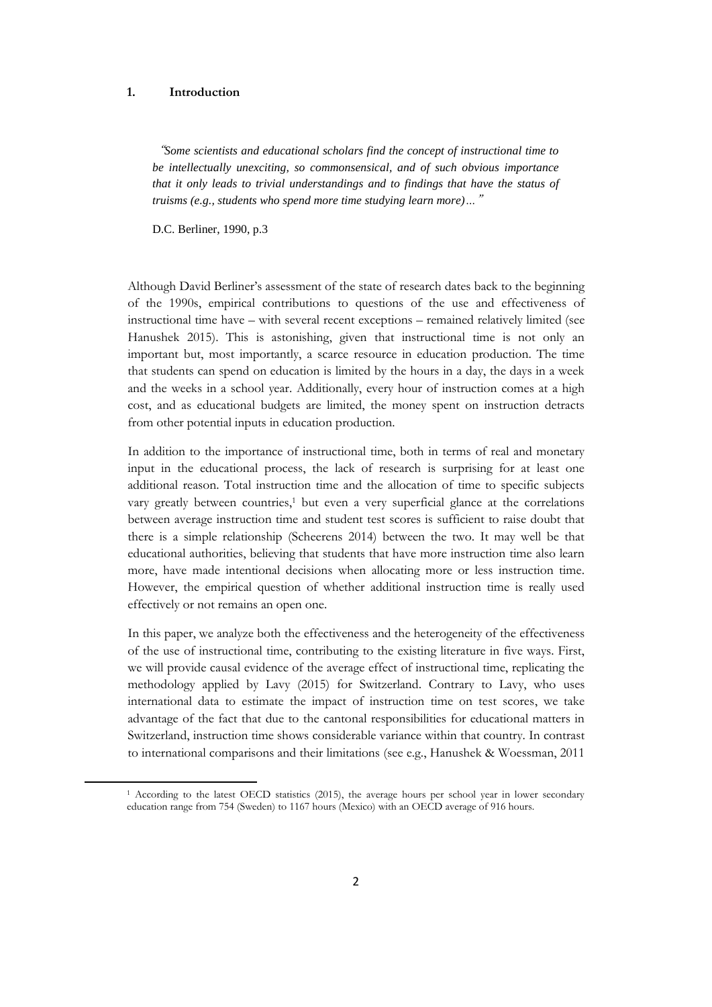#### **1. Introduction**

1

"*Some scientists and educational scholars find the concept of instructional time to be intellectually unexciting, so commonsensical, and of such obvious importance that it only leads to trivial understandings and to findings that have the status of truisms (e.g., students who spend more time studying learn more)…*"

D.C. Berliner, 1990, p.3

Although David Berliner's assessment of the state of research dates back to the beginning of the 1990s, empirical contributions to questions of the use and effectiveness of instructional time have – with several recent exceptions – remained relatively limited (see Hanushek 2015). This is astonishing, given that instructional time is not only an important but, most importantly, a scarce resource in education production. The time that students can spend on education is limited by the hours in a day, the days in a week and the weeks in a school year. Additionally, every hour of instruction comes at a high cost, and as educational budgets are limited, the money spent on instruction detracts from other potential inputs in education production.

In addition to the importance of instructional time, both in terms of real and monetary input in the educational process, the lack of research is surprising for at least one additional reason. Total instruction time and the allocation of time to specific subjects vary greatly between countries,<sup>1</sup> but even a very superficial glance at the correlations between average instruction time and student test scores is sufficient to raise doubt that there is a simple relationship (Scheerens 2014) between the two. It may well be that educational authorities, believing that students that have more instruction time also learn more, have made intentional decisions when allocating more or less instruction time. However, the empirical question of whether additional instruction time is really used effectively or not remains an open one.

In this paper, we analyze both the effectiveness and the heterogeneity of the effectiveness of the use of instructional time, contributing to the existing literature in five ways. First, we will provide causal evidence of the average effect of instructional time, replicating the methodology applied by Lavy (2015) for Switzerland. Contrary to Lavy, who uses international data to estimate the impact of instruction time on test scores, we take advantage of the fact that due to the cantonal responsibilities for educational matters in Switzerland, instruction time shows considerable variance within that country. In contrast to international comparisons and their limitations (see e.g., Hanushek & Woessman, 2011

<sup>1</sup> According to the latest OECD statistics (2015), the average hours per school year in lower secondary education range from 754 (Sweden) to 1167 hours (Mexico) with an OECD average of 916 hours.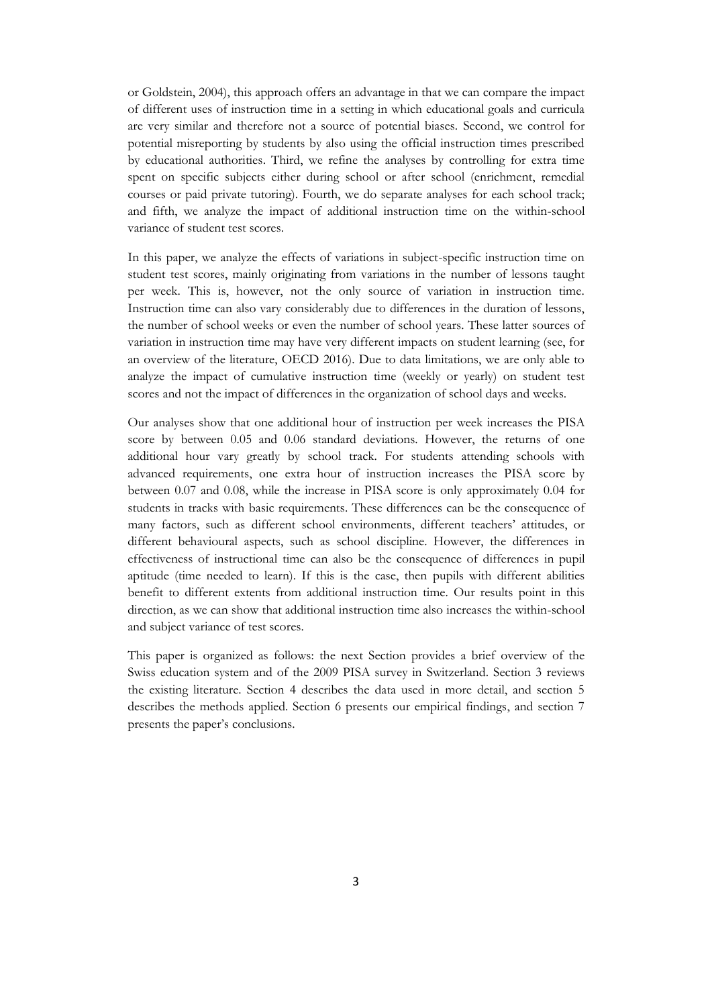or Goldstein, 2004), this approach offers an advantage in that we can compare the impact of different uses of instruction time in a setting in which educational goals and curricula are very similar and therefore not a source of potential biases. Second, we control for potential misreporting by students by also using the official instruction times prescribed by educational authorities. Third, we refine the analyses by controlling for extra time spent on specific subjects either during school or after school (enrichment, remedial courses or paid private tutoring). Fourth, we do separate analyses for each school track; and fifth, we analyze the impact of additional instruction time on the within-school variance of student test scores.

In this paper, we analyze the effects of variations in subject-specific instruction time on student test scores, mainly originating from variations in the number of lessons taught per week. This is, however, not the only source of variation in instruction time. Instruction time can also vary considerably due to differences in the duration of lessons, the number of school weeks or even the number of school years. These latter sources of variation in instruction time may have very different impacts on student learning (see, for an overview of the literature, OECD 2016). Due to data limitations, we are only able to analyze the impact of cumulative instruction time (weekly or yearly) on student test scores and not the impact of differences in the organization of school days and weeks.

Our analyses show that one additional hour of instruction per week increases the PISA score by between 0.05 and 0.06 standard deviations. However, the returns of one additional hour vary greatly by school track. For students attending schools with advanced requirements, one extra hour of instruction increases the PISA score by between 0.07 and 0.08, while the increase in PISA score is only approximately 0.04 for students in tracks with basic requirements. These differences can be the consequence of many factors, such as different school environments, different teachers' attitudes, or different behavioural aspects, such as school discipline. However, the differences in effectiveness of instructional time can also be the consequence of differences in pupil aptitude (time needed to learn). If this is the case, then pupils with different abilities benefit to different extents from additional instruction time. Our results point in this direction, as we can show that additional instruction time also increases the within-school and subject variance of test scores.

This paper is organized as follows: the next Section provides a brief overview of the Swiss education system and of the 2009 PISA survey in Switzerland. Section 3 reviews the existing literature. Section 4 describes the data used in more detail, and section 5 describes the methods applied. Section 6 presents our empirical findings, and section 7 presents the paper's conclusions.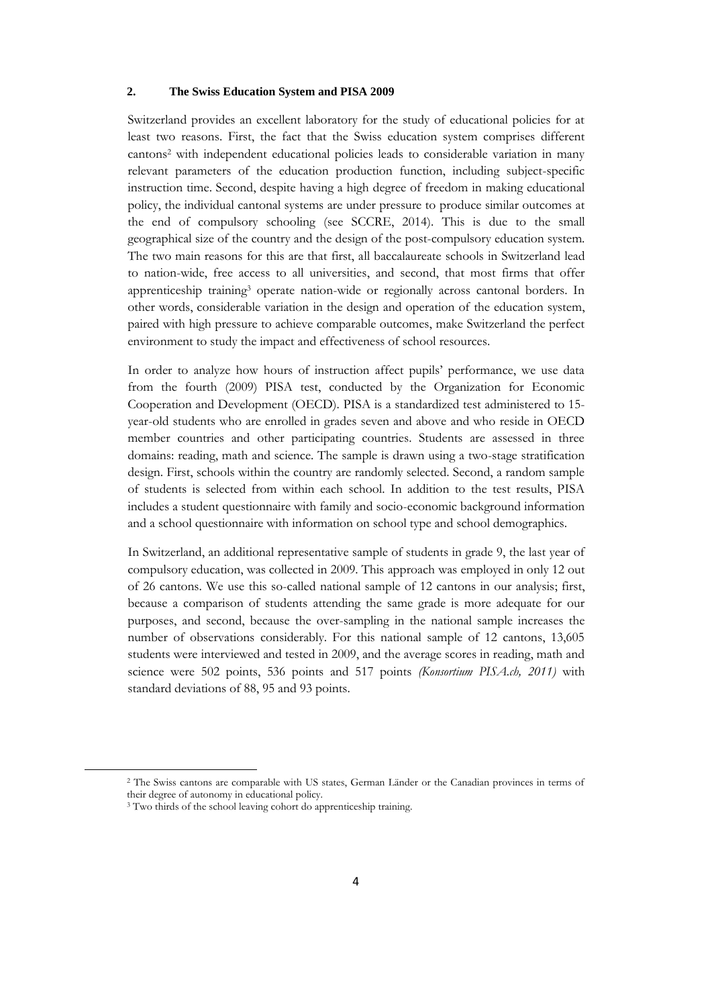#### **2. The Swiss Education System and PISA 2009**

Switzerland provides an excellent laboratory for the study of educational policies for at least two reasons. First, the fact that the Swiss education system comprises different cantons<sup>2</sup> with independent educational policies leads to considerable variation in many relevant parameters of the education production function, including subject-specific instruction time. Second, despite having a high degree of freedom in making educational policy, the individual cantonal systems are under pressure to produce similar outcomes at the end of compulsory schooling (see SCCRE, 2014). This is due to the small geographical size of the country and the design of the post-compulsory education system. The two main reasons for this are that first, all baccalaureate schools in Switzerland lead to nation-wide, free access to all universities, and second, that most firms that offer apprenticeship training<sup>3</sup> operate nation-wide or regionally across cantonal borders. In other words, considerable variation in the design and operation of the education system, paired with high pressure to achieve comparable outcomes, make Switzerland the perfect environment to study the impact and effectiveness of school resources.

In order to analyze how hours of instruction affect pupils' performance, we use data from the fourth (2009) PISA test, conducted by the Organization for Economic Cooperation and Development (OECD). PISA is a standardized test administered to 15 year-old students who are enrolled in grades seven and above and who reside in OECD member countries and other participating countries. Students are assessed in three domains: reading, math and science. The sample is drawn using a two-stage stratification design. First, schools within the country are randomly selected. Second, a random sample of students is selected from within each school. In addition to the test results, PISA includes a student questionnaire with family and socio-economic background information and a school questionnaire with information on school type and school demographics.

In Switzerland, an additional representative sample of students in grade 9, the last year of compulsory education, was collected in 2009. This approach was employed in only 12 out of 26 cantons. We use this so-called national sample of 12 cantons in our analysis; first, because a comparison of students attending the same grade is more adequate for our purposes, and second, because the over-sampling in the national sample increases the number of observations considerably. For this national sample of 12 cantons, 13,605 students were interviewed and tested in 2009, and the average scores in reading, math and science were 502 points, 536 points and 517 points *(Konsortium PISA.ch, 2011)* with standard deviations of 88, 95 and 93 points.

**.** 

<sup>2</sup> The Swiss cantons are comparable with US states, German Länder or the Canadian provinces in terms of their degree of autonomy in educational policy.

<sup>&</sup>lt;sup>3</sup> Two thirds of the school leaving cohort do apprenticeship training.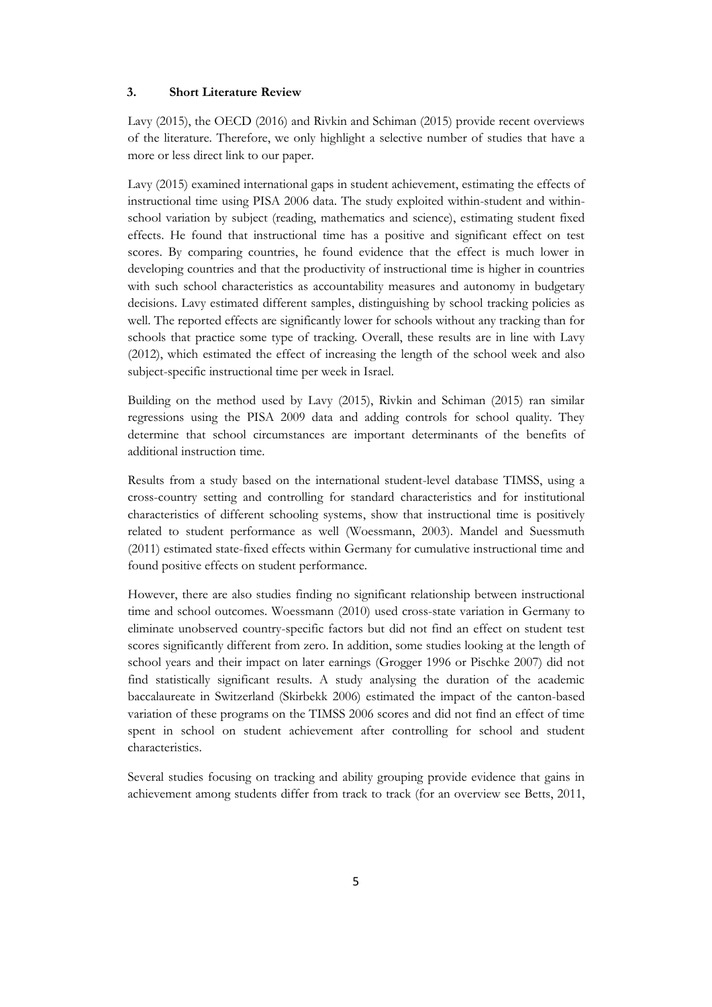#### **3. Short Literature Review**

Lavy (2015), the OECD (2016) and Rivkin and Schiman (2015) provide recent overviews of the literature. Therefore, we only highlight a selective number of studies that have a more or less direct link to our paper.

Lavy (2015) examined international gaps in student achievement, estimating the effects of instructional time using PISA 2006 data. The study exploited within-student and withinschool variation by subject (reading, mathematics and science), estimating student fixed effects. He found that instructional time has a positive and significant effect on test scores. By comparing countries, he found evidence that the effect is much lower in developing countries and that the productivity of instructional time is higher in countries with such school characteristics as accountability measures and autonomy in budgetary decisions. Lavy estimated different samples, distinguishing by school tracking policies as well. The reported effects are significantly lower for schools without any tracking than for schools that practice some type of tracking. Overall, these results are in line with Lavy (2012), which estimated the effect of increasing the length of the school week and also subject-specific instructional time per week in Israel.

Building on the method used by Lavy (2015), Rivkin and Schiman (2015) ran similar regressions using the PISA 2009 data and adding controls for school quality. They determine that school circumstances are important determinants of the benefits of additional instruction time.

Results from a study based on the international student-level database TIMSS, using a cross-country setting and controlling for standard characteristics and for institutional characteristics of different schooling systems, show that instructional time is positively related to student performance as well (Woessmann, 2003). Mandel and Suessmuth (2011) estimated state-fixed effects within Germany for cumulative instructional time and found positive effects on student performance.

However, there are also studies finding no significant relationship between instructional time and school outcomes. Woessmann (2010) used cross-state variation in Germany to eliminate unobserved country-specific factors but did not find an effect on student test scores significantly different from zero. In addition, some studies looking at the length of school years and their impact on later earnings (Grogger 1996 or Pischke 2007) did not find statistically significant results. A study analysing the duration of the academic baccalaureate in Switzerland (Skirbekk 2006) estimated the impact of the canton-based variation of these programs on the TIMSS 2006 scores and did not find an effect of time spent in school on student achievement after controlling for school and student characteristics.

Several studies focusing on tracking and ability grouping provide evidence that gains in achievement among students differ from track to track (for an overview see Betts, 2011,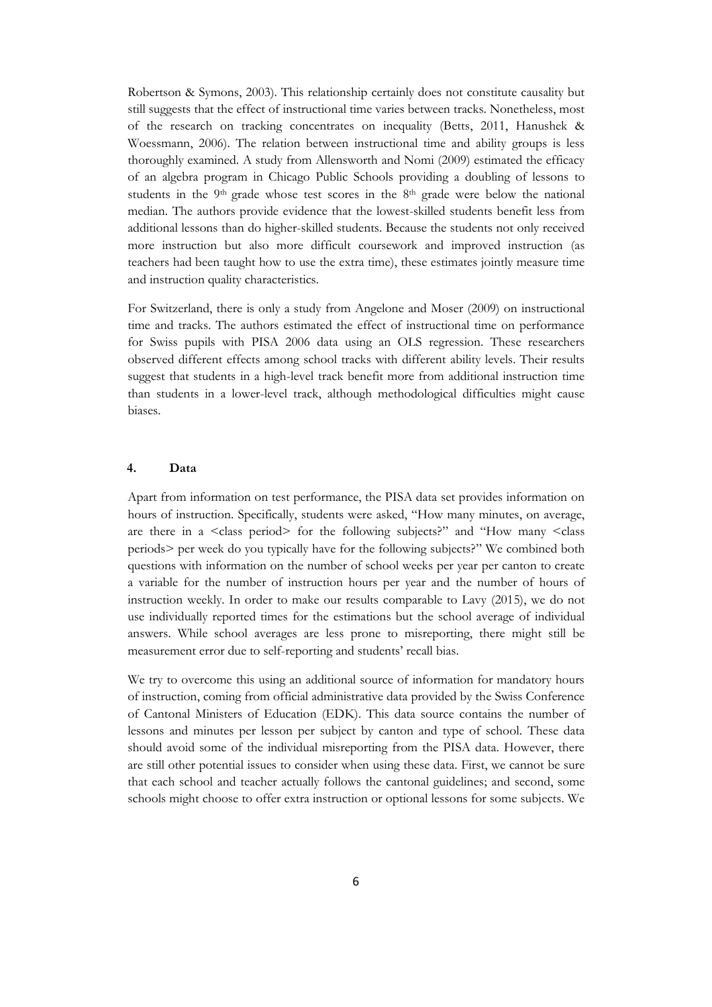Robertson & Symons, 2003). This relationship certainly does not constitute causality but still suggests that the effect of instructional time varies between tracks. Nonetheless, most of the research on tracking concentrates on inequality (Betts, 2011, Hanushek & Woessmann, 2006). The relation between instructional time and ability groups is less thoroughly examined. A study from Allensworth and Nomi (2009) estimated the efficacy of an algebra program in Chicago Public Schools providing a doubling of lessons to students in the  $9<sup>th</sup>$  grade whose test scores in the  $8<sup>th</sup>$  grade were below the national median. The authors provide evidence that the lowest-skilled students benefit less from additional lessons than do higher-skilled students. Because the students not only received more instruction but also more difficult coursework and improved instruction (as teachers had been taught how to use the extra time), these estimates jointly measure time and instruction quality characteristics.

For Switzerland, there is only a study from Angelone and Moser (2009) on instructional time and tracks. The authors estimated the effect of instructional time on performance for Swiss pupils with PISA 2006 data using an OLS regression. These researchers observed different effects among school tracks with different ability levels. Their results suggest that students in a high-level track benefit more from additional instruction time than students in a lower-level track, although methodological difficulties might cause biases.

#### **4. Data**

Apart from information on test performance, the PISA data set provides information on hours of instruction. Specifically, students were asked, "How many minutes, on average, are there in a <class period> for the following subjects?" and "How many <class periods> per week do you typically have for the following subjects?" We combined both questions with information on the number of school weeks per year per canton to create a variable for the number of instruction hours per year and the number of hours of instruction weekly. In order to make our results comparable to Lavy (2015), we do not use individually reported times for the estimations but the school average of individual answers. While school averages are less prone to misreporting, there might still be measurement error due to self-reporting and students' recall bias.

We try to overcome this using an additional source of information for mandatory hours of instruction, coming from official administrative data provided by the Swiss Conference of Cantonal Ministers of Education (EDK). This data source contains the number of lessons and minutes per lesson per subject by canton and type of school. These data should avoid some of the individual misreporting from the PISA data. However, there are still other potential issues to consider when using these data. First, we cannot be sure that each school and teacher actually follows the cantonal guidelines; and second, some schools might choose to offer extra instruction or optional lessons for some subjects. We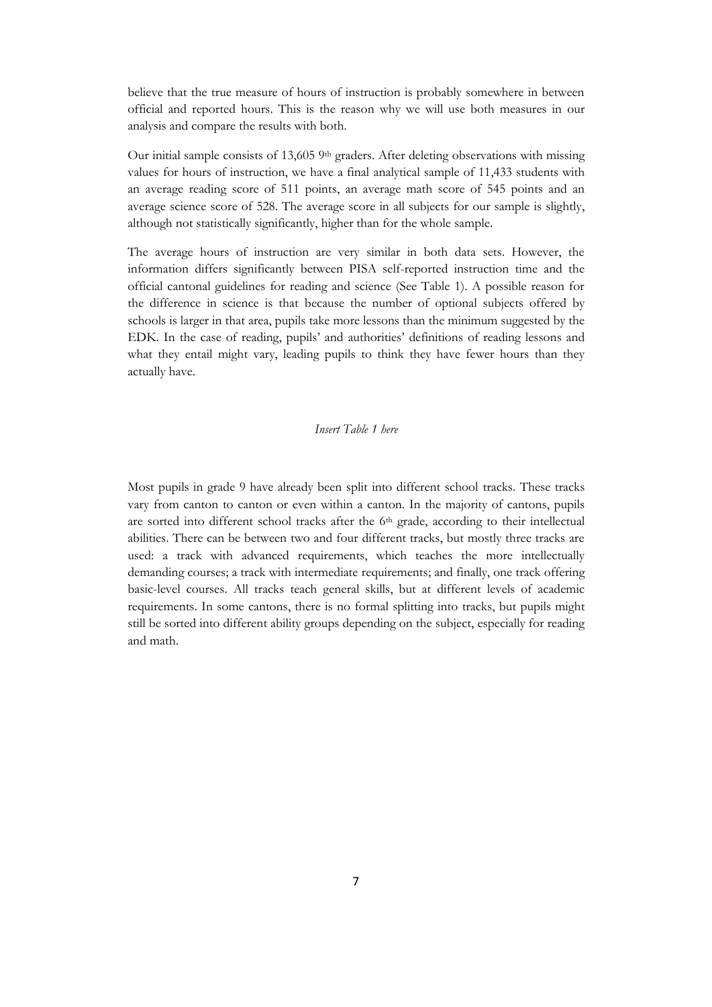believe that the true measure of hours of instruction is probably somewhere in between official and reported hours. This is the reason why we will use both measures in our analysis and compare the results with both.

Our initial sample consists of 13,605 9th graders. After deleting observations with missing values for hours of instruction, we have a final analytical sample of 11,433 students with an average reading score of 511 points, an average math score of 545 points and an average science score of 528. The average score in all subjects for our sample is slightly, although not statistically significantly, higher than for the whole sample.

The average hours of instruction are very similar in both data sets. However, the information differs significantly between PISA self-reported instruction time and the official cantonal guidelines for reading and science (See Table 1). A possible reason for the difference in science is that because the number of optional subjects offered by schools is larger in that area, pupils take more lessons than the minimum suggested by the EDK. In the case of reading, pupils' and authorities' definitions of reading lessons and what they entail might vary, leading pupils to think they have fewer hours than they actually have.

#### *Insert Table 1 here*

Most pupils in grade 9 have already been split into different school tracks. These tracks vary from canton to canton or even within a canton. In the majority of cantons, pupils are sorted into different school tracks after the 6<sup>th</sup> grade, according to their intellectual abilities. There can be between two and four different tracks, but mostly three tracks are used: a track with advanced requirements, which teaches the more intellectually demanding courses; a track with intermediate requirements; and finally, one track offering basic-level courses. All tracks teach general skills, but at different levels of academic requirements. In some cantons, there is no formal splitting into tracks, but pupils might still be sorted into different ability groups depending on the subject, especially for reading and math.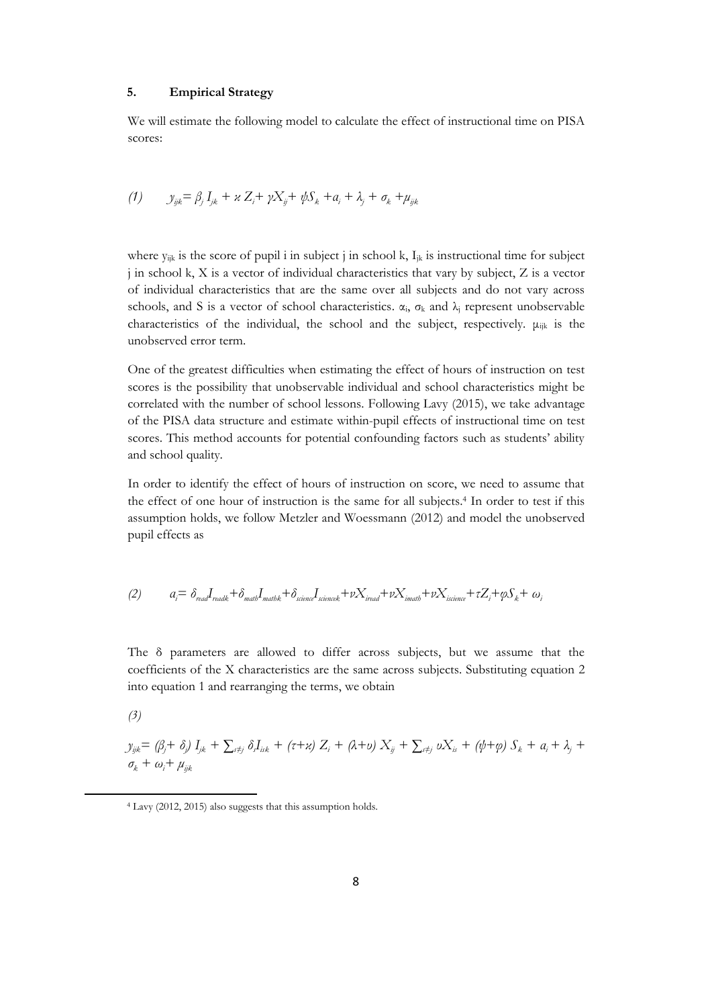#### **5. Empirical Strategy**

We will estimate the following model to calculate the effect of instructional time on PISA scores:

(1) 
$$
y_{ijk} = \beta_j I_{jk} + \alpha Z_i + \gamma X_{ij} + \psi S_k + a_i + \lambda_j + \sigma_k + \mu_{jk}
$$

where  $y_{ijk}$  is the score of pupil i in subject j in school k,  $I_{ik}$  is instructional time for subject j in school k, X is a vector of individual characteristics that vary by subject, Z is a vector of individual characteristics that are the same over all subjects and do not vary across schools, and S is a vector of school characteristics.  $\alpha_i$ ,  $\sigma_k$  and  $\lambda_j$  represent unobservable characteristics of the individual, the school and the subject, respectively.  $\mu_{ijk}$  is the unobserved error term.

One of the greatest difficulties when estimating the effect of hours of instruction on test scores is the possibility that unobservable individual and school characteristics might be correlated with the number of school lessons. Following Lavy (2015), we take advantage of the PISA data structure and estimate within-pupil effects of instructional time on test scores. This method accounts for potential confounding factors such as students' ability and school quality.

In order to identify the effect of hours of instruction on score, we need to assume that the effect of one hour of instruction is the same for all subjects.<sup>4</sup> In order to test if this assumption holds, we follow Metzler and Woessmann (2012) and model the unobserved pupil effects as

$$
(2) \hspace{1cm} a_i = \delta_{\text{read}} I_{\text{readk}} + \delta_{\text{match}} I_{\text{matchk}} + \delta_{\text{science}} I_{\text{sciencek}} + \nu X_{\text{read}} + \nu X_{\text{imath}} + \nu X_{\text{isience}} + \tau Z_i + \varphi S_k + \omega_i
$$

The δ parameters are allowed to differ across subjects, but we assume that the coefficients of the X characteristics are the same across subjects. Substituting equation 2 into equation 1 and rearranging the terms, we obtain

*(3)*

1

$$
y_{ijk} = (\beta_j + \delta_j) I_{jk} + \sum_{i \neq j} \delta_i I_{ik} + (\tau + \varkappa) Z_i + (\lambda + \varkappa) X_{ij} + \sum_{i \neq j} \nu X_{ik} + (\psi + \varphi) S_k + a_i + \lambda_j + \sigma_k + \omega_i + \mu_{ijk}
$$

<sup>4</sup> Lavy (2012, 2015) also suggests that this assumption holds.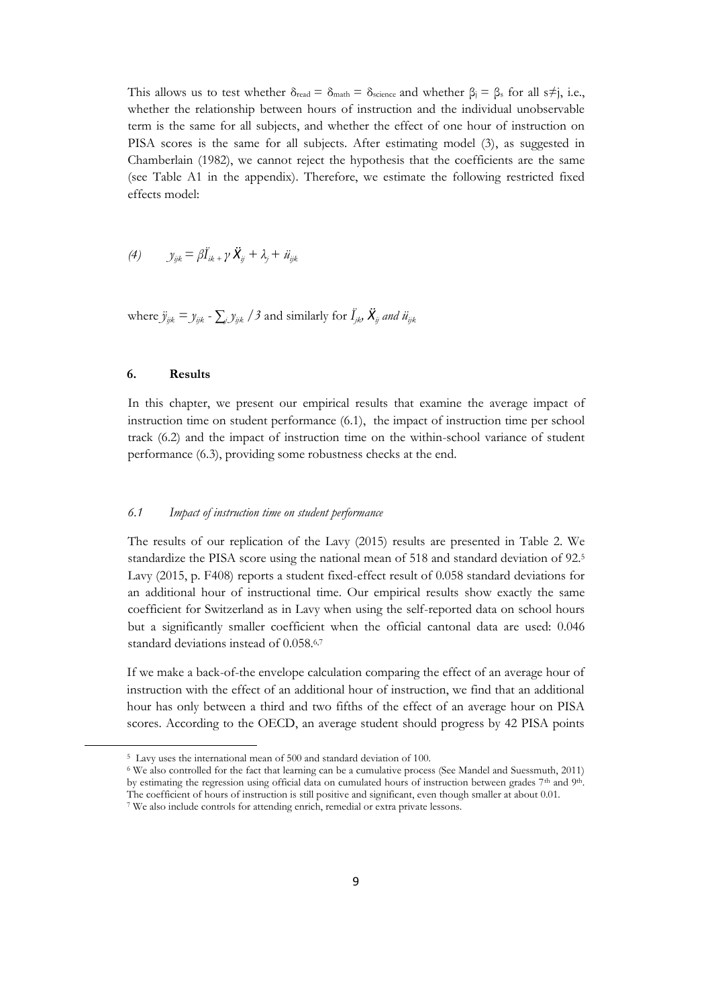This allows us to test whether  $\delta_{\text{read}} = \delta_{\text{match}} = \delta_{\text{science}}$  and whether  $\beta_i = \beta_s$  for all s≠j, i.e., whether the relationship between hours of instruction and the individual unobservable term is the same for all subjects, and whether the effect of one hour of instruction on PISA scores is the same for all subjects. After estimating model (3), as suggested in Chamberlain (1982), we cannot reject the hypothesis that the coefficients are the same (see Table A1 in the appendix). Therefore, we estimate the following restricted fixed effects model:

(4) 
$$
y_{ijk} = \beta \ddot{I}_{ik} + \gamma \ddot{X}_{ij} + \lambda_j + \ddot{u}_{ijk}
$$

where  $\ddot{y}_{ijk} = y_{ijk}$  -  $\sum_j y_{ijk}$  /3 and similarly for  $\ddot{I}_{jk}$ ,  $\ddot{X}_{ij}$  and  $\ddot{u}_{ijk}$ 

#### **6. Results**

1

In this chapter, we present our empirical results that examine the average impact of instruction time on student performance (6.1), the impact of instruction time per school track (6.2) and the impact of instruction time on the within-school variance of student performance (6.3), providing some robustness checks at the end.

#### *6.1 Impact of instruction time on student performance*

The results of our replication of the Lavy (2015) results are presented in Table 2. We standardize the PISA score using the national mean of 518 and standard deviation of 92. 5 Lavy (2015, p. F408) reports a student fixed-effect result of 0.058 standard deviations for an additional hour of instructional time. Our empirical results show exactly the same coefficient for Switzerland as in Lavy when using the self-reported data on school hours but a significantly smaller coefficient when the official cantonal data are used: 0.046 standard deviations instead of 0.058. 6,7

If we make a back-of-the envelope calculation comparing the effect of an average hour of instruction with the effect of an additional hour of instruction, we find that an additional hour has only between a third and two fifths of the effect of an average hour on PISA scores. According to the OECD, an average student should progress by 42 PISA points

<sup>5</sup> Lavy uses the international mean of 500 and standard deviation of 100.

<sup>6</sup> We also controlled for the fact that learning can be a cumulative process (See Mandel and Suessmuth, 2011) by estimating the regression using official data on cumulated hours of instruction between grades 7th and 9th. The coefficient of hours of instruction is still positive and significant, even though smaller at about 0.01.

<sup>7</sup> We also include controls for attending enrich, remedial or extra private lessons.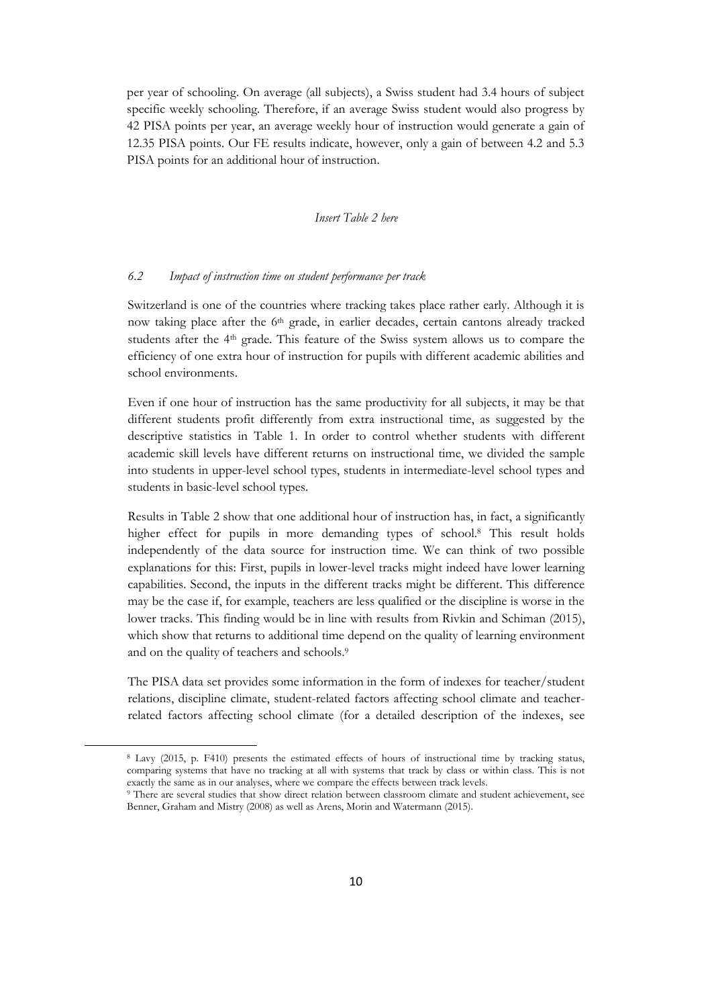per year of schooling. On average (all subjects), a Swiss student had 3.4 hours of subject specific weekly schooling. Therefore, if an average Swiss student would also progress by 42 PISA points per year, an average weekly hour of instruction would generate a gain of 12.35 PISA points. Our FE results indicate, however, only a gain of between 4.2 and 5.3 PISA points for an additional hour of instruction.

#### *Insert Table 2 here*

#### *6.2 Impact of instruction time on student performance per track*

Switzerland is one of the countries where tracking takes place rather early. Although it is now taking place after the 6th grade, in earlier decades, certain cantons already tracked students after the  $4<sup>th</sup>$  grade. This feature of the Swiss system allows us to compare the efficiency of one extra hour of instruction for pupils with different academic abilities and school environments.

Even if one hour of instruction has the same productivity for all subjects, it may be that different students profit differently from extra instructional time, as suggested by the descriptive statistics in Table 1. In order to control whether students with different academic skill levels have different returns on instructional time, we divided the sample into students in upper-level school types, students in intermediate-level school types and students in basic-level school types.

Results in Table 2 show that one additional hour of instruction has, in fact, a significantly higher effect for pupils in more demanding types of school.<sup>8</sup> This result holds independently of the data source for instruction time. We can think of two possible explanations for this: First, pupils in lower-level tracks might indeed have lower learning capabilities. Second, the inputs in the different tracks might be different. This difference may be the case if, for example, teachers are less qualified or the discipline is worse in the lower tracks. This finding would be in line with results from Rivkin and Schiman (2015), which show that returns to additional time depend on the quality of learning environment and on the quality of teachers and schools.<sup>9</sup>

The PISA data set provides some information in the form of indexes for teacher/student relations, discipline climate, student-related factors affecting school climate and teacherrelated factors affecting school climate (for a detailed description of the indexes, see

1

<sup>8</sup> Lavy (2015, p. F410) presents the estimated effects of hours of instructional time by tracking status, comparing systems that have no tracking at all with systems that track by class or within class. This is not exactly the same as in our analyses, where we compare the effects between track levels.

<sup>9</sup> There are several studies that show direct relation between classroom climate and student achievement, see Benner, Graham and Mistry (2008) as well as Arens, Morin and Watermann (2015).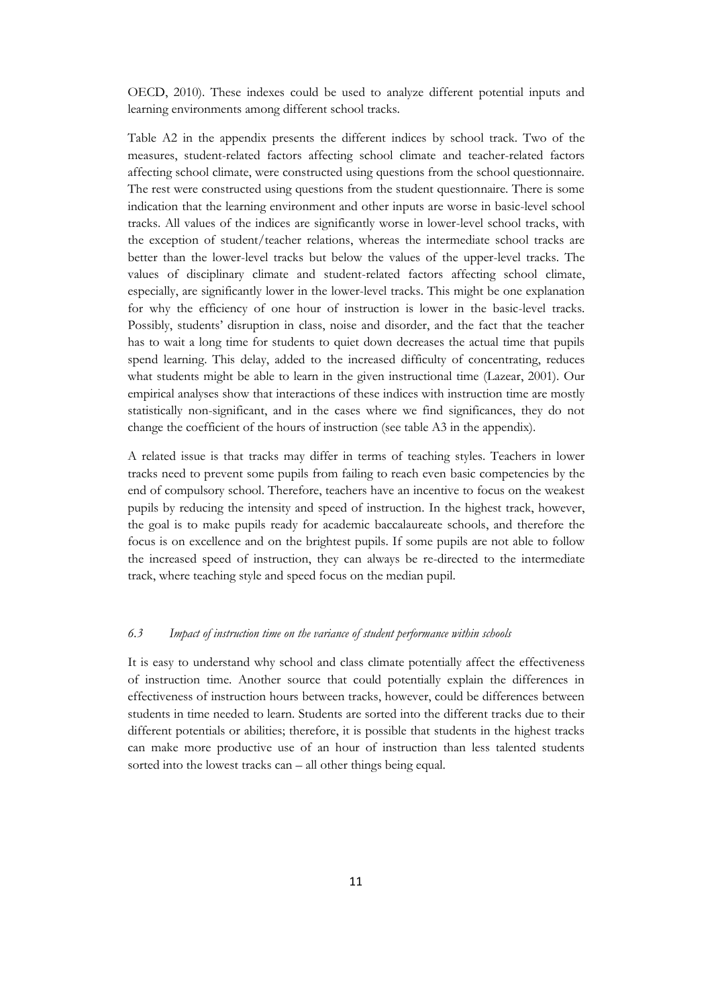OECD, 2010). These indexes could be used to analyze different potential inputs and learning environments among different school tracks.

Table A2 in the appendix presents the different indices by school track. Two of the measures, student-related factors affecting school climate and teacher-related factors affecting school climate, were constructed using questions from the school questionnaire. The rest were constructed using questions from the student questionnaire. There is some indication that the learning environment and other inputs are worse in basic-level school tracks. All values of the indices are significantly worse in lower-level school tracks, with the exception of student/teacher relations, whereas the intermediate school tracks are better than the lower-level tracks but below the values of the upper-level tracks. The values of disciplinary climate and student-related factors affecting school climate, especially, are significantly lower in the lower-level tracks. This might be one explanation for why the efficiency of one hour of instruction is lower in the basic-level tracks. Possibly, students' disruption in class, noise and disorder, and the fact that the teacher has to wait a long time for students to quiet down decreases the actual time that pupils spend learning. This delay, added to the increased difficulty of concentrating, reduces what students might be able to learn in the given instructional time (Lazear, 2001). Our empirical analyses show that interactions of these indices with instruction time are mostly statistically non-significant, and in the cases where we find significances, they do not change the coefficient of the hours of instruction (see table A3 in the appendix).

A related issue is that tracks may differ in terms of teaching styles. Teachers in lower tracks need to prevent some pupils from failing to reach even basic competencies by the end of compulsory school. Therefore, teachers have an incentive to focus on the weakest pupils by reducing the intensity and speed of instruction. In the highest track, however, the goal is to make pupils ready for academic baccalaureate schools, and therefore the focus is on excellence and on the brightest pupils. If some pupils are not able to follow the increased speed of instruction, they can always be re-directed to the intermediate track, where teaching style and speed focus on the median pupil.

#### *6.3 Impact of instruction time on the variance of student performance within schools*

It is easy to understand why school and class climate potentially affect the effectiveness of instruction time. Another source that could potentially explain the differences in effectiveness of instruction hours between tracks, however, could be differences between students in time needed to learn. Students are sorted into the different tracks due to their different potentials or abilities; therefore, it is possible that students in the highest tracks can make more productive use of an hour of instruction than less talented students sorted into the lowest tracks can – all other things being equal.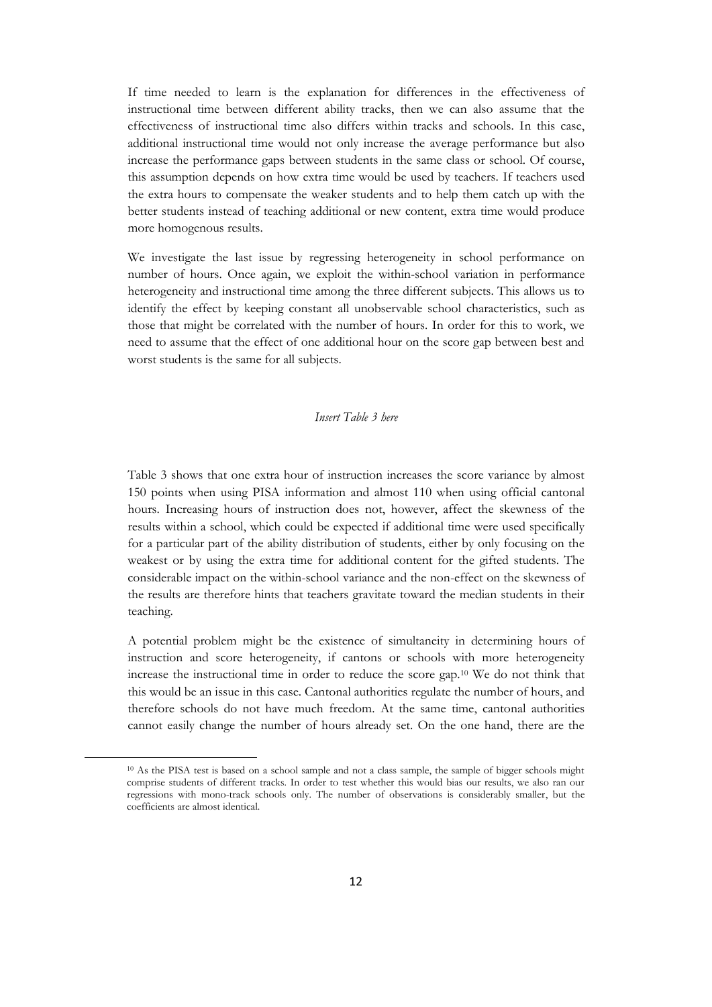If time needed to learn is the explanation for differences in the effectiveness of instructional time between different ability tracks, then we can also assume that the effectiveness of instructional time also differs within tracks and schools. In this case, additional instructional time would not only increase the average performance but also increase the performance gaps between students in the same class or school. Of course, this assumption depends on how extra time would be used by teachers. If teachers used the extra hours to compensate the weaker students and to help them catch up with the better students instead of teaching additional or new content, extra time would produce more homogenous results.

We investigate the last issue by regressing heterogeneity in school performance on number of hours. Once again, we exploit the within-school variation in performance heterogeneity and instructional time among the three different subjects. This allows us to identify the effect by keeping constant all unobservable school characteristics, such as those that might be correlated with the number of hours. In order for this to work, we need to assume that the effect of one additional hour on the score gap between best and worst students is the same for all subjects.

#### *Insert Table 3 here*

Table 3 shows that one extra hour of instruction increases the score variance by almost 150 points when using PISA information and almost 110 when using official cantonal hours. Increasing hours of instruction does not, however, affect the skewness of the results within a school, which could be expected if additional time were used specifically for a particular part of the ability distribution of students, either by only focusing on the weakest or by using the extra time for additional content for the gifted students. The considerable impact on the within-school variance and the non-effect on the skewness of the results are therefore hints that teachers gravitate toward the median students in their teaching.

A potential problem might be the existence of simultaneity in determining hours of instruction and score heterogeneity, if cantons or schools with more heterogeneity increase the instructional time in order to reduce the score gap.<sup>10</sup> We do not think that this would be an issue in this case. Cantonal authorities regulate the number of hours, and therefore schools do not have much freedom. At the same time, cantonal authorities cannot easily change the number of hours already set. On the one hand, there are the

1

<sup>10</sup> As the PISA test is based on a school sample and not a class sample, the sample of bigger schools might comprise students of different tracks. In order to test whether this would bias our results, we also ran our regressions with mono-track schools only. The number of observations is considerably smaller, but the coefficients are almost identical.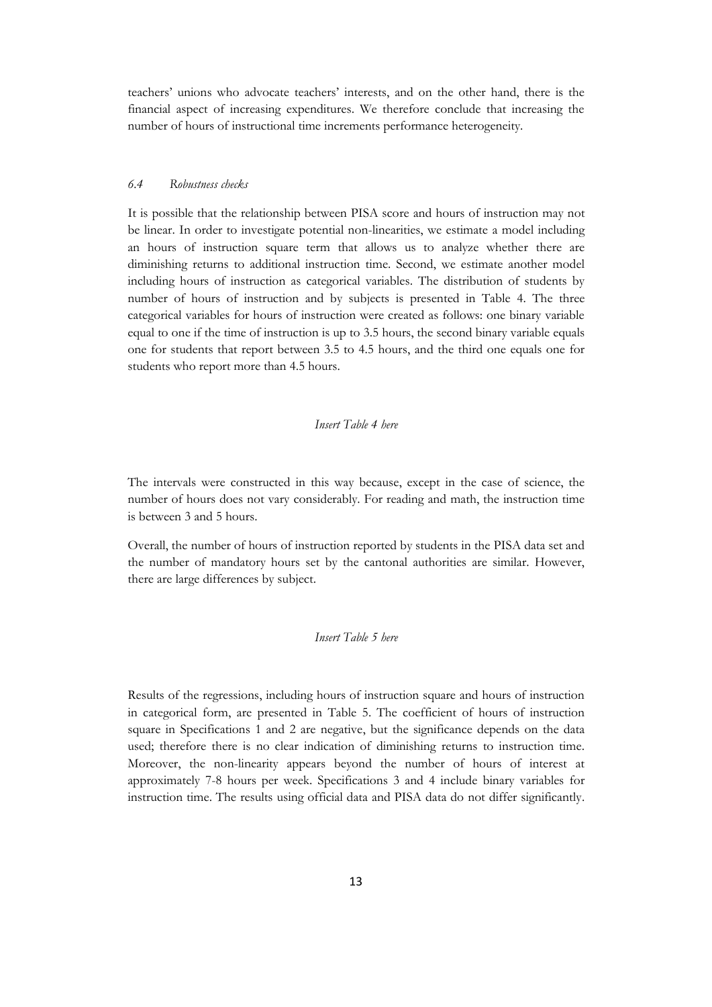teachers' unions who advocate teachers' interests, and on the other hand, there is the financial aspect of increasing expenditures. We therefore conclude that increasing the number of hours of instructional time increments performance heterogeneity.

#### *6.4 Robustness checks*

It is possible that the relationship between PISA score and hours of instruction may not be linear. In order to investigate potential non-linearities, we estimate a model including an hours of instruction square term that allows us to analyze whether there are diminishing returns to additional instruction time. Second, we estimate another model including hours of instruction as categorical variables. The distribution of students by number of hours of instruction and by subjects is presented in Table 4. The three categorical variables for hours of instruction were created as follows: one binary variable equal to one if the time of instruction is up to 3.5 hours, the second binary variable equals one for students that report between 3.5 to 4.5 hours, and the third one equals one for students who report more than 4.5 hours.

#### *Insert Table 4 here*

The intervals were constructed in this way because, except in the case of science, the number of hours does not vary considerably. For reading and math, the instruction time is between 3 and 5 hours.

Overall, the number of hours of instruction reported by students in the PISA data set and the number of mandatory hours set by the cantonal authorities are similar. However, there are large differences by subject.

#### *Insert Table 5 here*

Results of the regressions, including hours of instruction square and hours of instruction in categorical form, are presented in Table 5. The coefficient of hours of instruction square in Specifications 1 and 2 are negative, but the significance depends on the data used; therefore there is no clear indication of diminishing returns to instruction time. Moreover, the non-linearity appears beyond the number of hours of interest at approximately 7-8 hours per week. Specifications 3 and 4 include binary variables for instruction time. The results using official data and PISA data do not differ significantly.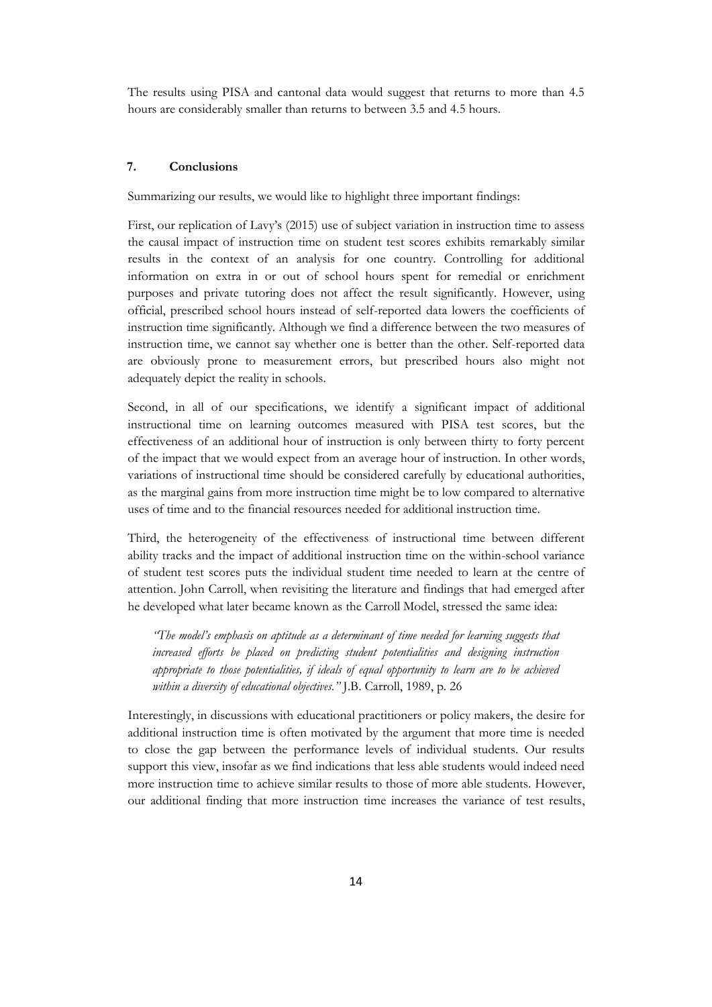The results using PISA and cantonal data would suggest that returns to more than 4.5 hours are considerably smaller than returns to between 3.5 and 4.5 hours.

#### **7. Conclusions**

Summarizing our results, we would like to highlight three important findings:

First, our replication of Lavy's (2015) use of subject variation in instruction time to assess the causal impact of instruction time on student test scores exhibits remarkably similar results in the context of an analysis for one country. Controlling for additional information on extra in or out of school hours spent for remedial or enrichment purposes and private tutoring does not affect the result significantly. However, using official, prescribed school hours instead of self-reported data lowers the coefficients of instruction time significantly. Although we find a difference between the two measures of instruction time, we cannot say whether one is better than the other. Self-reported data are obviously prone to measurement errors, but prescribed hours also might not adequately depict the reality in schools.

Second, in all of our specifications, we identify a significant impact of additional instructional time on learning outcomes measured with PISA test scores, but the effectiveness of an additional hour of instruction is only between thirty to forty percent of the impact that we would expect from an average hour of instruction. In other words, variations of instructional time should be considered carefully by educational authorities, as the marginal gains from more instruction time might be to low compared to alternative uses of time and to the financial resources needed for additional instruction time.

Third, the heterogeneity of the effectiveness of instructional time between different ability tracks and the impact of additional instruction time on the within-school variance of student test scores puts the individual student time needed to learn at the centre of attention. John Carroll, when revisiting the literature and findings that had emerged after he developed what later became known as the Carroll Model, stressed the same idea:

*"The model's emphasis on aptitude as a determinant of time needed for learning suggests that increased efforts be placed on predicting student potentialities and designing instruction appropriate to those potentialities, if ideals of equal opportunity to learn are to be achieved within a diversity of educational objectives."* J.B. Carroll, 1989, p. 26

Interestingly, in discussions with educational practitioners or policy makers, the desire for additional instruction time is often motivated by the argument that more time is needed to close the gap between the performance levels of individual students. Our results support this view, insofar as we find indications that less able students would indeed need more instruction time to achieve similar results to those of more able students. However, our additional finding that more instruction time increases the variance of test results,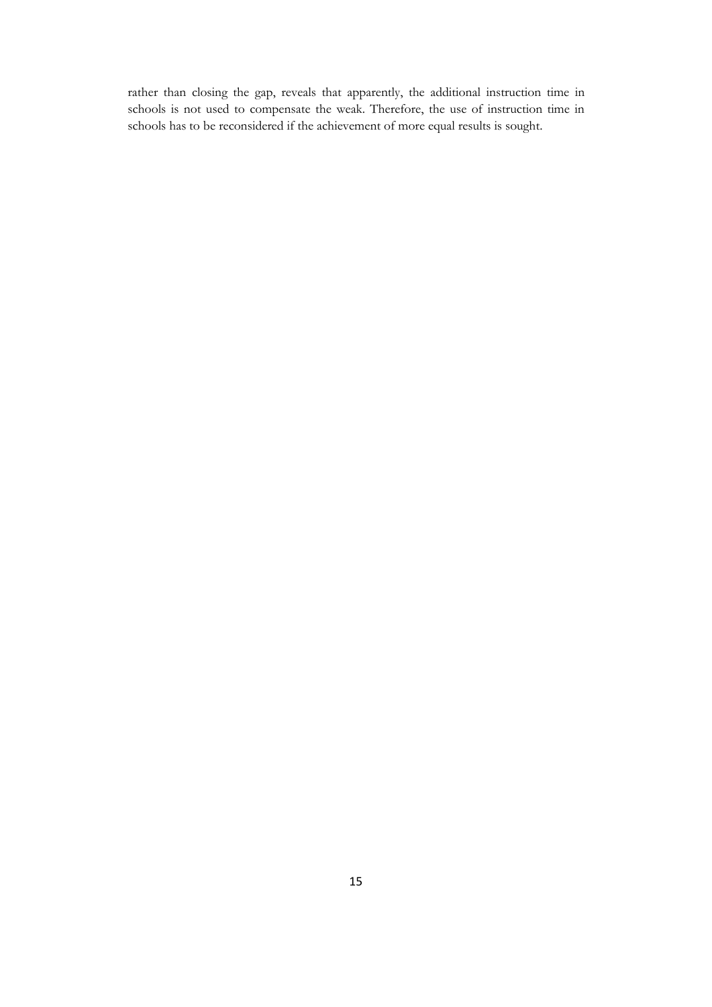rather than closing the gap, reveals that apparently, the additional instruction time in schools is not used to compensate the weak. Therefore, the use of instruction time in schools has to be reconsidered if the achievement of more equal results is sought.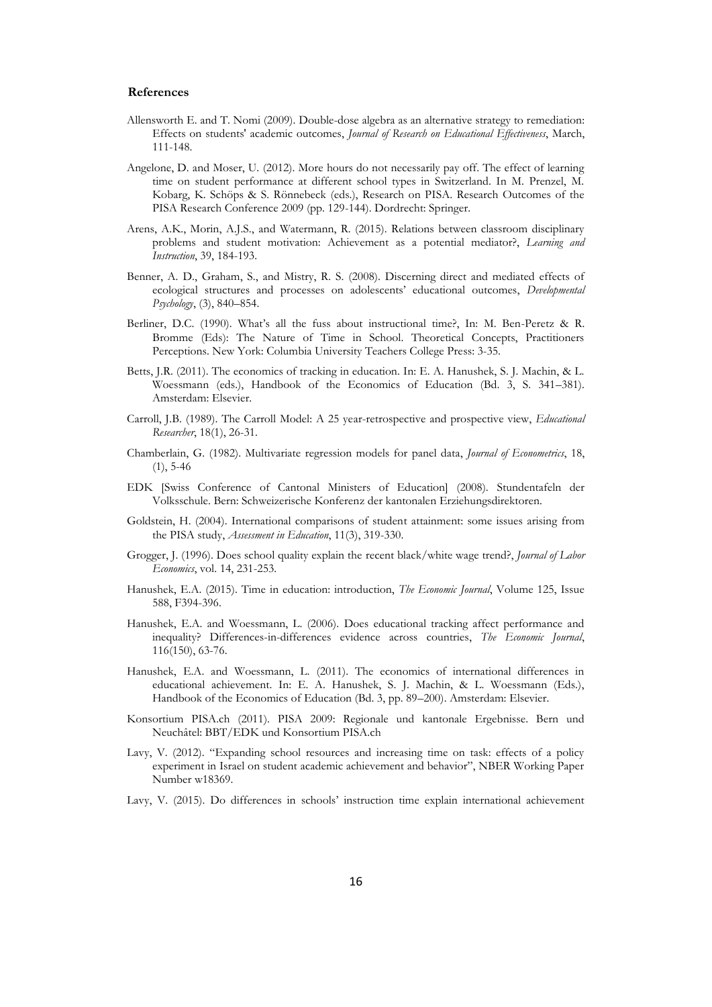#### **References**

- Allensworth E. and T. Nomi (2009). Double-dose algebra as an alternative strategy to remediation: Effects on students' academic outcomes, *Journal of Research on Educational Effectiveness*, March, 111-148.
- Angelone, D. and Moser, U. (2012). More hours do not necessarily pay off. The effect of learning time on student performance at different school types in Switzerland. In M. Prenzel, M. Kobarg, K. Schöps & S. Rönnebeck (eds.), Research on PISA. Research Outcomes of the PISA Research Conference 2009 (pp. 129-144). Dordrecht: Springer.
- Arens, A.K., Morin, A.J.S., and Watermann, R. (2015). Relations between classroom disciplinary problems and student motivation: Achievement as a potential mediator?, *Learning and Instruction*, 39, 184-193.
- Benner, A. D., Graham, S., and Mistry, R. S. (2008). Discerning direct and mediated effects of ecological structures and processes on adolescents' educational outcomes, *Developmental Psychology*, (3), 840–854.
- Berliner, D.C. (1990). What's all the fuss about instructional time?, In: M. Ben-Peretz & R. Bromme (Eds): The Nature of Time in School. Theoretical Concepts, Practitioners Perceptions. New York: Columbia University Teachers College Press: 3-35.
- Betts, J.R. (2011). The economics of tracking in education. In: E. A. Hanushek, S. J. Machin, & L. Woessmann (eds.), Handbook of the Economics of Education (Bd. 3, S. 341–381). Amsterdam: Elsevier.
- Carroll, J.B. (1989). The Carroll Model: A 25 year-retrospective and prospective view, *Educational Researcher*, 18(1), 26-31.
- Chamberlain, G. (1982). [Multivariate regression models for panel data,](http://econpapers.repec.org/article/eeeeconom/v_3a18_3ay_3a1982_3ai_3a1_3ap_3a5-46.htm) *Journal of Econometrics*, 18, (1), 5-46
- EDK [Swiss Conference of Cantonal Ministers of Education] (2008). Stundentafeln der Volksschule. Bern: Schweizerische Konferenz der kantonalen Erziehungsdirektoren.
- Goldstein, H. (2004). International comparisons of student attainment: some issues arising from the PISA study, *Assessment in Education*, 11(3), 319-330.
- Grogger, J. (1996). Does school quality explain the recent black/white wage trend?, *Journal of Labor Economics*, vol. 14, 231-253.
- Hanushek, E.A. (2015). Time in education: introduction, *The Economic Journal*, Volume 125, Issue 588, F394-396.
- Hanushek, E.A. and Woessmann, L. (2006). [Does educational tracking affect performance and](http://hanushek.stanford.edu/publications/does-educational-tracking-affect-performance-and-inequality-differences-differences)  [inequality? Differences-in-differences evidence across countries,](http://hanushek.stanford.edu/publications/does-educational-tracking-affect-performance-and-inequality-differences-differences) *The Economic Journal*, 116(150), 63-76.
- Hanushek, E.A. and Woessmann, L. (2011). The economics of international differences in educational achievement. In: E. A. Hanushek, S. J. Machin, & L. Woessmann (Eds.), Handbook of the Economics of Education (Bd. 3, pp. 89–200). Amsterdam: Elsevier.
- Konsortium PISA.ch (2011). PISA 2009: Regionale und kantonale Ergebnisse. Bern und Neuchâtel: BBT/EDK und Konsortium PISA.ch
- Lavy, V. (2012). "Expanding school resources and increasing time on task: effects of a policy experiment in Israel on student academic achievement and behavior", NBER Working Paper Number w18369.
- Lavy, V. (2015). Do differences in schools' instruction time explain international achievement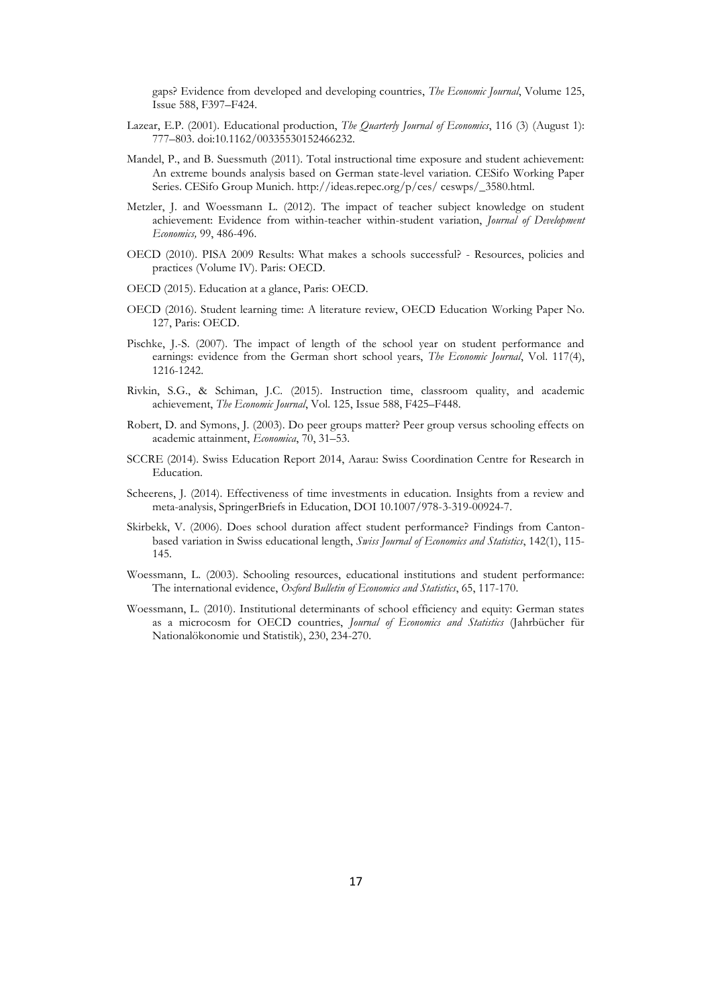gaps? Evidence from developed and developing countries, *The Economic Journal*, Volume 125, Issue 588, F397–F424.

- Lazear, E.P. (2001). Educational production, *The Quarterly Journal of Economics*, 116 (3) (August 1): 777–803. doi:10.1162/00335530152466232.
- Mandel, P., and B. Suessmuth (2011). Total instructional time exposure and student achievement: An extreme bounds analysis based on German state-level variation. CESifo Working Paper Series. CESifo Group Munich. http://ideas.repec.org/p/ces/ ceswps/\_3580.html.
- Metzler, J. and Woessmann L. (2012). The impact of teacher subject knowledge on student achievement: Evidence from within-teacher within-student variation, *Journal of Development Economics,* 99, 486-496.
- OECD (2010). PISA 2009 Results: What makes a schools successful? Resources, policies and practices (Volume IV). Paris: OECD.
- OECD (2015). Education at a glance, Paris: OECD.
- OECD (2016). Student learning time: A literature review, OECD Education Working Paper No. 127, Paris: OECD.
- Pischke, J.-S. (2007). The impact of length of the school year on student performance and earnings: evidence from the German short school years, *The Economic Journal*, Vol. 117(4), 1216-1242.
- Rivkin, S.G., & Schiman, J.C. (2015). Instruction time, classroom quality, and academic achievement, *The Economic Journal*, Vol. 125, Issue 588, F425–F448.
- Robert, D. and Symons, J. (2003). Do peer groups matter? Peer group versus schooling effects on academic attainment, *Economica*, 70, 31–53.
- SCCRE (2014). Swiss Education Report 2014, Aarau: Swiss Coordination Centre for Research in Education.
- Scheerens, J. (2014). Effectiveness of time investments in education. Insights from a review and meta-analysis, SpringerBriefs in Education, DOI 10.1007/978-3-319-00924-7.
- Skirbekk, V. (2006). Does school duration affect student performance? Findings from Cantonbased variation in Swiss educational length, *Swiss Journal of Economics and Statistics*, 142(1), 115- 145.
- Woessmann, L. (2003). Schooling resources, educational institutions and student performance: The international evidence, *Oxford Bulletin of Economics and Statistics*, 65, 117-170.
- Woessmann, L. (2010). Institutional determinants of school efficiency and equity: German states as a microcosm for OECD countries, *Journal of Economics and Statistics* (Jahrbücher für Nationalökonomie und Statistik), 230, 234-270.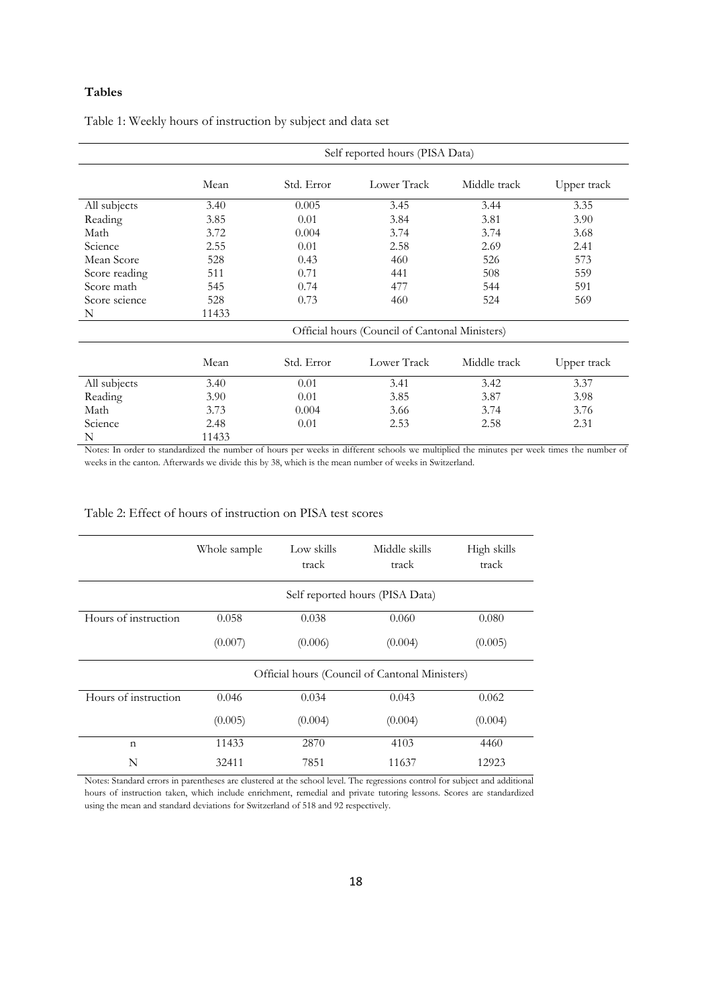#### **Tables**

|               | Self reported hours (PISA Data)                |            |             |              |             |
|---------------|------------------------------------------------|------------|-------------|--------------|-------------|
|               | Mean                                           | Std. Error | Lower Track | Middle track | Upper track |
| All subjects  | 3.40                                           | 0.005      | 3.45        | 3.44         | 3.35        |
| Reading       | 3.85                                           | 0.01       | 3.84        | 3.81         | 3.90        |
| Math          | 3.72                                           | 0.004      | 3.74        | 3.74         | 3.68        |
| Science       | 2.55                                           | 0.01       | 2.58        | 2.69         | 2.41        |
| Mean Score    | 528                                            | 0.43       | 460         | 526          | 573         |
| Score reading | 511                                            | 0.71       | 441         | 508          | 559         |
| Score math    | 545                                            | 0.74       | 477         | 544          | 591         |
| Score science | 528                                            | 0.73       | 460         | 524          | 569         |
| N             | 11433                                          |            |             |              |             |
|               | Official hours (Council of Cantonal Ministers) |            |             |              |             |
|               | Mean                                           | Std. Error | Lower Track | Middle track | Upper track |
| All subjects  | 3.40                                           | 0.01       | 3.41        | 3.42         | 3.37        |
| Reading       | 3.90                                           | 0.01       | 3.85        | 3.87         | 3.98        |
| Math          | 3.73                                           | 0.004      | 3.66        | 3.74         | 3.76        |
| Science       | 2.48                                           | 0.01       | 2.53        | 2.58         | 2.31        |
| N             | 11433                                          |            |             |              |             |

Table 1: Weekly hours of instruction by subject and data set

Notes: In order to standardized the number of hours per weeks in different schools we multiplied the minutes per week times the number of weeks in the canton. Afterwards we divide this by 38, which is the mean number of weeks in Switzerland.

|                      | Whole sample | Low skills<br>track | Middle skills<br>track                         | High skills<br>track |
|----------------------|--------------|---------------------|------------------------------------------------|----------------------|
|                      |              |                     | Self reported hours (PISA Data)                |                      |
| Hours of instruction | 0.058        | 0.038               | 0.060                                          | 0.080                |
|                      | (0.007)      | (0.006)             | (0.004)                                        | (0.005)              |
|                      |              |                     | Official hours (Council of Cantonal Ministers) |                      |
| Hours of instruction | 0.046        | 0.034               | 0.043                                          | 0.062                |
|                      | (0.005)      | (0.004)             | (0.004)                                        | (0.004)              |
| $\mathbf n$          | 11433        | 2870                | 4103                                           | 4460                 |
| N                    | 32411        | 7851                | 11637                                          | 12923                |

Notes: Standard errors in parentheses are clustered at the school level. The regressions control for subject and additional hours of instruction taken, which include enrichment, remedial and private tutoring lessons. Scores are standardized using the mean and standard deviations for Switzerland of 518 and 92 respectively.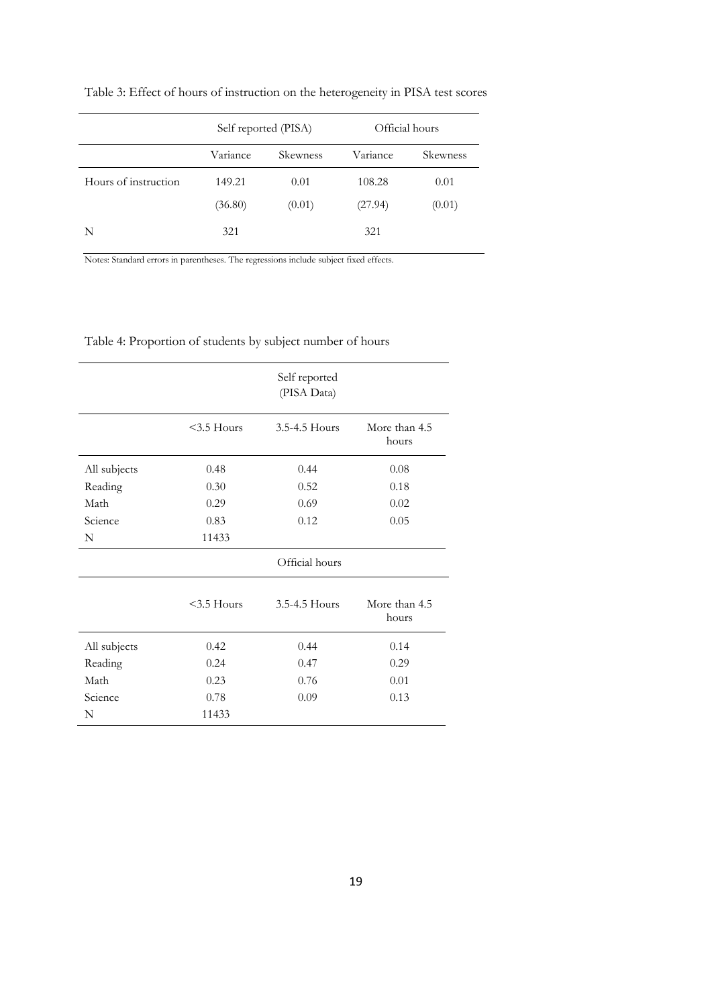Table 3: Effect of hours of instruction on the heterogeneity in PISA test scores

|                      | Self reported (PISA) |                 | Official hours |          |
|----------------------|----------------------|-----------------|----------------|----------|
|                      | Variance             | <b>Skewness</b> | Variance       | Skewness |
| Hours of instruction | 149.21               | 0.01            | 108.28         | 0.01     |
|                      | (36.80)              | (0.01)          | (27.94)        | (0.01)   |
| N                    | 321                  |                 | 321            |          |

Notes: Standard errors in parentheses. The regressions include subject fixed effects.

| Table 4: Proportion of students by subject number of hours |  |  |
|------------------------------------------------------------|--|--|
|                                                            |  |  |

|              |               | Self reported<br>(PISA Data) |                        |
|--------------|---------------|------------------------------|------------------------|
|              | $3.5$ Hours   | 3.5-4.5 Hours                | More than 4.5<br>hours |
| All subjects | 0.48          | 0.44                         | 0.08                   |
| Reading      | 0.30          | 0.52                         | 0.18                   |
| Math         | 0.29          | 0.69                         | 0.02                   |
| Science      | 0.83          | 0.12                         | 0.05                   |
| N            | 11433         |                              |                        |
|              |               | Official hours               |                        |
|              | $<$ 3.5 Hours | 3.5-4.5 Hours                | More than 4.5<br>hours |
| All subjects | 0.42          | 0.44                         | 0.14                   |
| Reading      | 0.24          | 0.47                         | 0.29                   |
| Math         | 0.23          | 0.76                         | 0.01                   |
| Science      | 0.78          | 0.09                         | 0.13                   |
| N            | 11433         |                              |                        |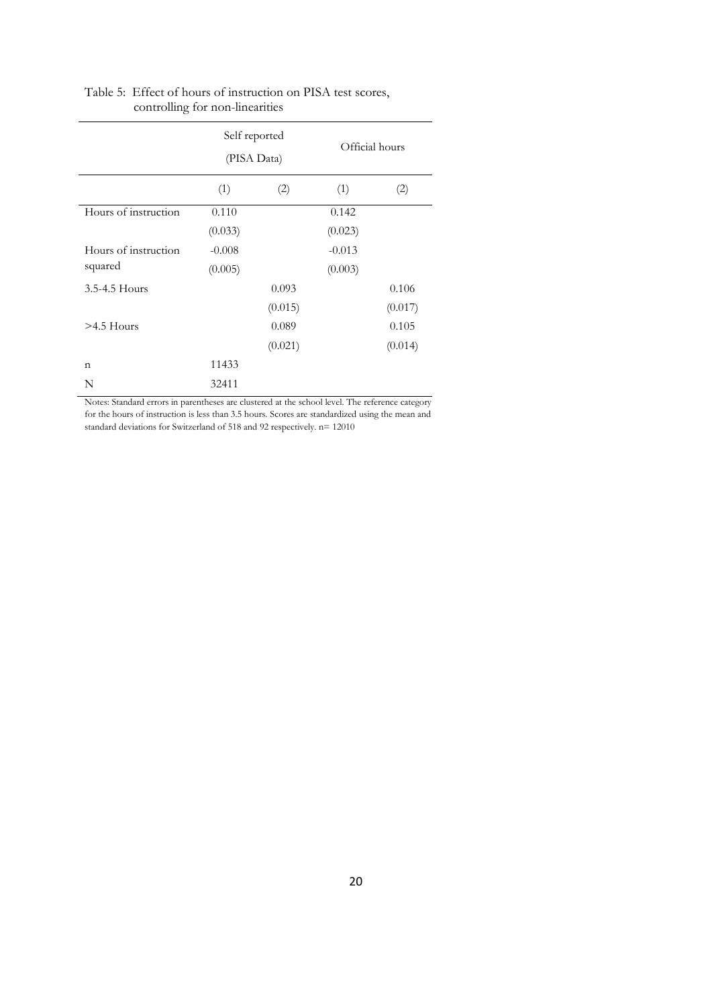|                      | Self reported<br>(PISA Data) |         | Official hours |         |
|----------------------|------------------------------|---------|----------------|---------|
|                      | (1)                          | (2)     | (1)            | (2)     |
| Hours of instruction | 0.110                        |         | 0.142          |         |
|                      | (0.033)                      |         | (0.023)        |         |
| Hours of instruction | $-0.008$                     |         | $-0.013$       |         |
| squared              | (0.005)                      |         | (0.003)        |         |
| 3.5-4.5 Hours        |                              | 0.093   |                | 0.106   |
|                      |                              | (0.015) |                | (0.017) |
| $>4.5$ Hours         |                              | 0.089   |                | 0.105   |
|                      |                              | (0.021) |                | (0.014) |
| n                    | 11433                        |         |                |         |
| N                    | 32411                        |         |                |         |

#### Table 5: Effect of hours of instruction on PISA test scores, controlling for non-linearities

Notes: Standard errors in parentheses are clustered at the school level. The reference category for the hours of instruction is less than 3.5 hours. Scores are standardized using the mean and standard deviations for Switzerland of 518 and 92 respectively. n= 12010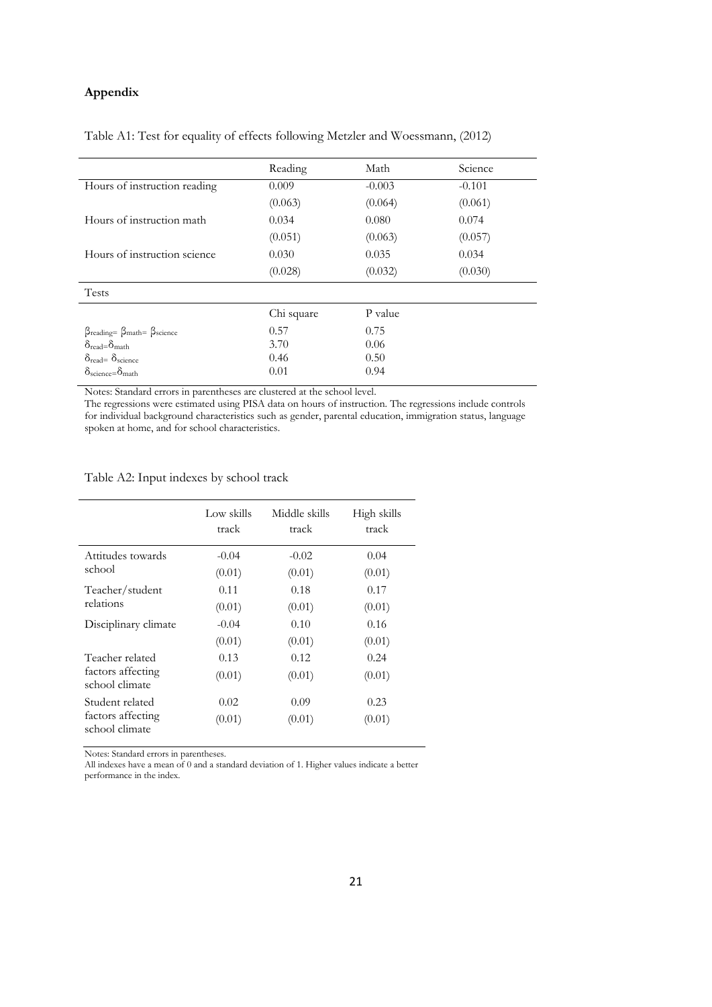#### **Appendix**

#### Table A1: Test for equality of effects following Metzler and Woessmann, (2012)

|                                                                         | Reading    | Math     | Science  |
|-------------------------------------------------------------------------|------------|----------|----------|
| Hours of instruction reading                                            | 0.009      | $-0.003$ | $-0.101$ |
|                                                                         | (0.063)    | (0.064)  | (0.061)  |
| Hours of instruction math                                               | 0.034      | 0.080    | 0.074    |
|                                                                         | (0.051)    | (0.063)  | (0.057)  |
| Hours of instruction science                                            | 0.030      | 0.035    | 0.034    |
|                                                                         | (0.028)    | (0.032)  | (0.030)  |
| <b>Tests</b>                                                            |            |          |          |
|                                                                         | Chi square | P value  |          |
| $\beta_{\text{reading}} = \beta_{\text{math}} = \beta_{\text{science}}$ | 0.57       | 0.75     |          |
| $\delta_{\text{read}} = \delta_{\text{math}}$                           | 3.70       | 0.06     |          |
| $\delta_{\text{read}} = \delta_{\text{science}}$                        | 0.46       | 0.50     |          |
| $\delta_{\rm science} = \delta_{\rm math}$                              | 0.01       | 0.94     |          |

Notes: Standard errors in parentheses are clustered at the school level.

The regressions were estimated using PISA data on hours of instruction. The regressions include controls for individual background characteristics such as gender, parental education, immigration status, language spoken at home, and for school characteristics.

Table A2: Input indexes by school track

|                                     | Low skills<br>track | Middle skills<br>track | High skills<br>track |
|-------------------------------------|---------------------|------------------------|----------------------|
| Attitudes towards                   | $-0.04$             | $-0.02$                | 0.04                 |
| school                              | (0.01)              | (0.01)                 | (0.01)               |
| Teacher/student                     | 0.11                | 0.18                   | 0.17                 |
| relations                           | (0.01)              | (0.01)                 | (0.01)               |
| Disciplinary climate                | $-0.04$             | 0.10                   | 0.16                 |
|                                     | (0.01)              | (0.01)                 | (0.01)               |
| Teacher related                     | 0.13                | 0.12                   | 0.24                 |
| factors affecting<br>school climate | (0.01)              | (0.01)                 | (0.01)               |
| Student related                     | 0.02                | 0.09                   | 0.23                 |
| factors affecting<br>school climate | (0.01)              | (0.01)                 | (0.01)               |

Notes: Standard errors in parentheses.

All indexes have a mean of 0 and a standard deviation of 1. Higher values indicate a better performance in the index.